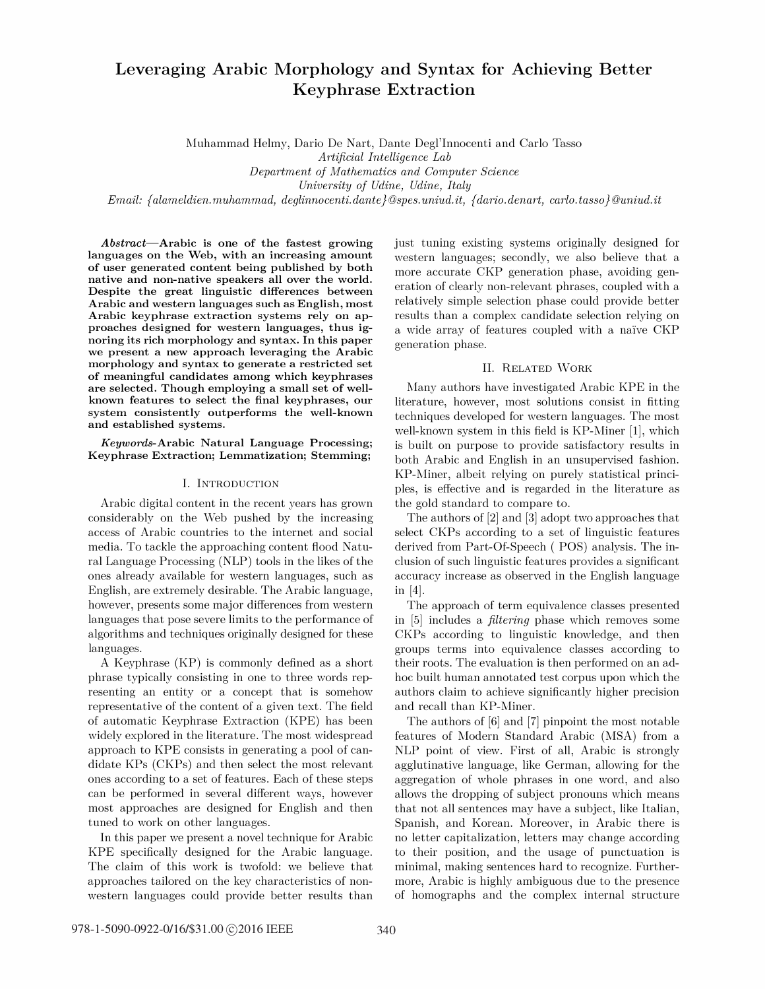# Leveraging Arabic Morphology and Syntax for Achieving Better Keyphrase Extraction

Muhammad Helmy, Dario De Nart, Dante Degl'Innocenti and Carlo Tasso

Artificial Intelligence Lab

Department of Mathematics and Computer Science

University of Udine, Udine, Italy

 $Email: \{diameter.muhammad, \,deglinnocent: dante \, \Theta spes.uniud.it, \, \{dario.denart, \, carlo. tasso \} \, \Theta uniud.it$ 

Abstract-Arabic is one of the fastest growing languages on the Web, with an increasing amount of user generated content being published by both native and non-native speakers all over the world. Despite the great linguistic differences between Arabic and western languages such as English, most Arabic keyphrase extraction systems rely on approaches designed for western languages, thus ignoring its rich morphology and syntax. In this paper we present a new approach leveraging the Arabic morphology and syntax to generate a restricted set of meaningful candidates among which keyphrases are selected. Though employing a small set of wellknown features to select the final keyphrases, our system consistently outperforms the well-known and established systems.

Keywords-Arabic Natural Language Processing; Keyphrase Extraction; Lemmatization; Stemming;

#### 1. INTRODUCTION

Arabic digital content in the recent years has grown considerably on the Web pushed by the increasing access of Arabic countries to the internet and social media. To tackle the approaching content flood Natural Language Processing (NLP) tools in the likes of the ones already available for western languages, such as English, are extremely desirable. The Arabic language, however, presents some major differences from western languages that pose severe limits to the performance of algorithms and techniques originally designed for these languages.

A Keyphrase (KP) is commonly defined as a short phrase typically consisting in one to three words representing an entity or a concept that is somehow representative of the content of a given text. The field of automatic Keyphrase Extraction (KPE) has been widely explored in the literature. The most widespread approach to KPE consists in generating a pool of candidate KPs (CKPs) and then select the most relevant ones according to a set of features. Each of these steps can be performed in several different ways, however most approaches are designed for English and then tuned to work on other languages.

In this paper we present a novel technique for Arabic KPE specifically designed for the Arabic language. The claim of this work is twofold: we believe that approaches tailored on the key characteristics of nonwestern languages could provide better results than just tuning existing systems originally designed for western languages; secondly, we also believe that a more accurate CKP generation phase, avoiding generation of clearly non-relevant phrases, coupled with a relatively simple selection phase could provide better results than a complex candidate selection relying on a wide array of features coupled with a naive CKP generation phase.

## II. RELATED WORK

Many authors have investigated Arabic KPE in the literature, however, most solutions consist in fitting techniques developed for western languages. The most well-known system in this field is KP-Miner [1], which is built on purpose to provide satisfactory results in both Arabic and English in an unsupervised fashion. KP-Miner, albeit relying on purely statistical principles, is effective and is regarded in the literature as the gold standard to compare to.

The authors of [2] and [3] adopt two approaches that select CKPs according to a set of linguistic features derived from Part-Of-Speech ( POS) analysis. The inclusion of such linguistic features provides a significant accuracy increase as observed in the English language in [4].

The approach of term equivalence classes presented in [5] includes a filtering phase which removes some CKPs according to linguistic knowledge, and then groups terms into equivalence classes according to their roots. The evaluation is then performed on an adhoc built human annotated test corpus upon which the authors claim to achieve significantly higher precision and recall than KP-Miner.

The authors of [6] and [7] pinpoint the most notable features of Modern Standard Arabic (MSA) from a NLP point of view. First of all, Arabic is strongly agglutinative language, like German, allowing for the aggregation of whole phrases in one word, and also allows the dropping of subject pronouns which means that not all sentences may have a subject, like Italian, Spanish, and Korean. Moreover, in Arabic there is no letter capitalization, letters may change according to their position, and the usage of punctuation is minimal, making sentences hard to recognize. Furthermore, Arabic is highly ambiguous due to the presence of homographs and the complex internal structure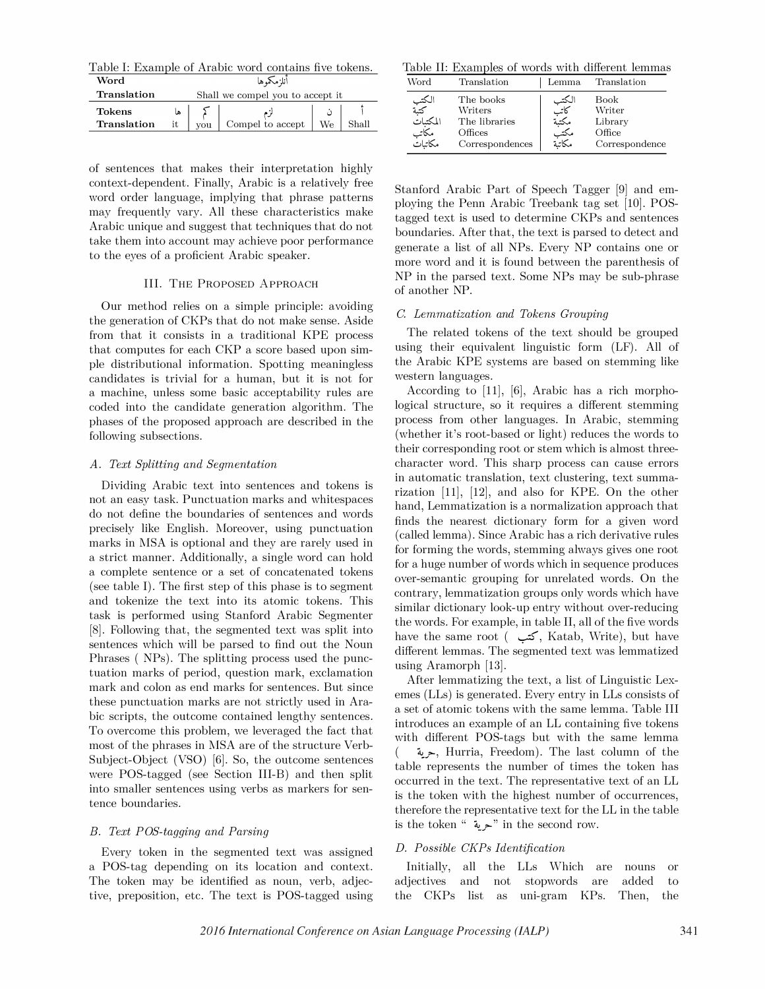Table I: Example of Arabic word contains five tokens.

| Word                         | انلزمكموها                       |            |                  |    |       |
|------------------------------|----------------------------------|------------|------------------|----|-------|
| Translation                  | Shall we compel you to accept it |            |                  |    |       |
| <b>Tokens</b><br>Translation | it.                              | <b>vou</b> | Compel to accept | We | shall |

of sentences that makes their interpretation highly context-dependent. Finally, Arabic is a relatively free word order language, implying that phrase patterns may frequently vary. All these characteristics make Arabic unique and suggest that techniques that do not take them into account may achieve poor performance to the eyes of a proficient Arabic speaker.

#### III. THE PROPOSED ApPROACH

Our method relies on a simple principle: avoiding the generation of CKPs that do not make sense. Aside from that it consists in a traditional KPE process that computes for each CKP a score based upon simple distributional information. Spotting meaningless candidates is trivial for a human, but it is not for a machine, unless some basic acceptability rules are coded into the candidate generation algorithm. The phases of the proposed approach are described in the following subsections.

#### A. Text Splitting and Segmentation

Dividing Arabic text into sentences and tokens is not an easy task. Punctuation marks and whitespaces do not define the boundaries of sentences and words precisely like English. Moreover, using punctuation marks in MSA is optional and they are rarely used in a strict manner. Additionally, a single word can hold a complete sentence or a set of concatenated tokens (see table I). The first step of this phase is to segment and tokenize the text into its atomic tokens. This task is performed using Stanford Arabic Segmenter [8]. Following that, the segmented text was split into sentences which will be parsed to find out the Noun Phrases ( NPs). The splitting process used the punctuation marks of period, question mark, exclamation mark and colon as end marks for sentences. But since these punctuation marks are not strictly used in Arabic scripts, the outcome contained lengthy sentences. To overcome this problem, we leveraged the fact that most of the phrases in MSA are of the structure Verb-Subject-Object (VSO) [6]. So, the outcome sentences were POS-tagged (see Section III-B) and then split into smaller sentences using verbs as markers for sentence boundaries.

## B. Text POS-tagging and Parsing

Every token in the segmented text was assigned a POS-tag depending on its location and context. The token may be identified as noun, verb, adjective, preposition, etc. The text is POS-tagged using

Table II: Examples of words with different lemmas

| Word     | Translation     | Lemma  | Translation    |
|----------|-----------------|--------|----------------|
| الكتب    | The books       | الكتب  | Book           |
| كتبة     | Writers         | كاتب   | Writer         |
| المكتبات | The libraries   | مكتبة  | Library        |
| مكاتب    | Offices         | مكتب   | Office         |
| مكاتبات  | Correspondences | مكاتنة | Correspondence |

Stanford Arabic Part of Speech Tagger [9] and employing the Penn Arabic Treebank tag set [10]. POStagged text is used to determine CKPs and sentences boundaries. After that, the text is parsed to detect and generate a list of all NPs. Every NP contains one or more word and it is found between the parenthesis of NP in the parsed text. Some NPs may be sub-phrase of another NP.

# C. Lemmatization and Tokens Grouping

The related tokens of the text should be grouped using their equivalent linguistic form (LF). All of the Arabic KPE systems are based on stemming like western languages.

According to  $[11]$ ,  $[6]$ , Arabic has a rich morphological structure, so it requires a different stemming process from other languages. In Arabic, stemming (whether it's root-based or light) reduces the words to their corresponding root or stem which is almost threecharacter word. This sharp process can cause errors in automatic translation, text clustering, text summarization [11], [12], and also for KPE. On the other hand, Lemmatization is a normalization approach that finds the nearest dictionary form for a given word (called lemma). Since Arabic has a rich derivative rules for forming the words, stemming always gives one root for a huge number of words which in sequence produces over-semantic grouping for unrelated words. On the contrary, lemmatization groups only words which have similar dictionary look-up entry without over-reducing the words. For example, in table II, all of the five words have the same root ( كتب , Katab, Write), but have different lemmas. The segmented text was lemmatized using Aramorph [13].

After lemmatizing the text, a list of Linguistic Lexemes (LLs) is generated. Every entry in LLs consists of a set of atomic tokens with the same lemma. Table III introduces an example of an LL containing five tokens with different POS-tags but with the same lemma ( �, Hurria, Freedom). The last column of the table represents the number of times the token has occurred in the text. The representative text of an LL is the token with the highest number of occurrences, therefore the representative text for the LL in the table is the token " حرية " in the second row. .

# D. Possible CKPs Identification

Initially, all the LLs Which are adjectives and not stopwords are the CKPs list as uni-gram KPs. nouns added Then, or to the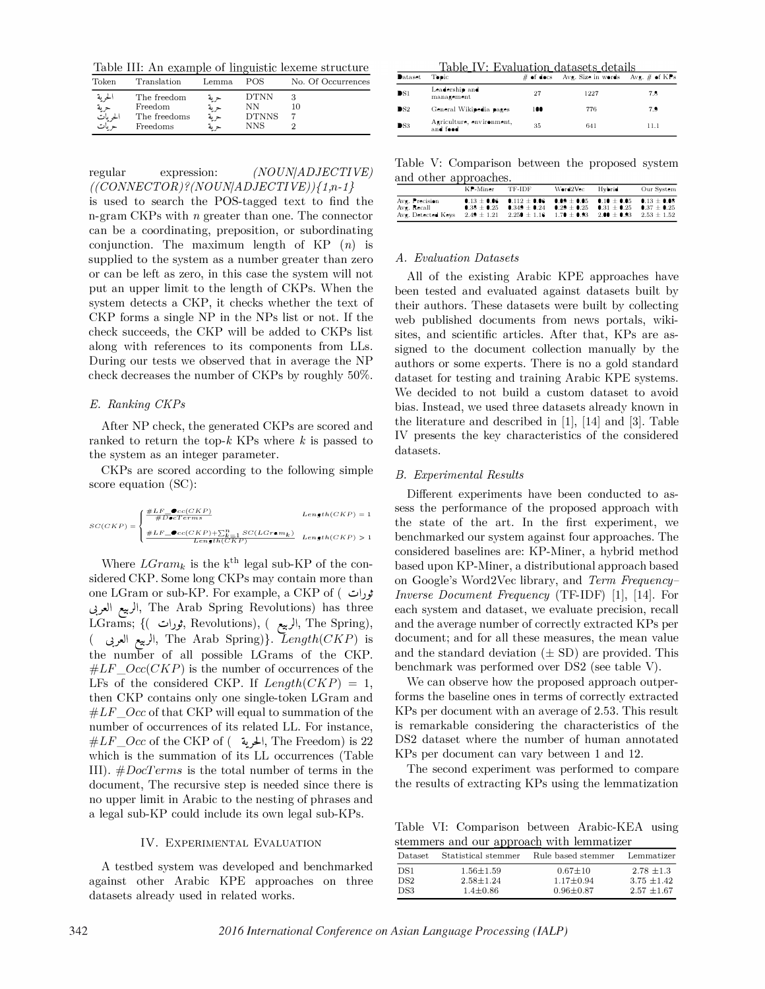Table III: An example of linguistic lexeme structure

| Token    | Translation  | Lemma. | <b>POS</b>   | No. Of Occurrences |
|----------|--------------|--------|--------------|--------------------|
| الحرية   | The freedom  | حرية   | <b>DTNN</b>  | 10                 |
| حرية     | Freedom      | حربة   | NN           |                    |
| الحر مات | The freedoms | حربة"  | <b>DTNNS</b> |                    |
| ح مات    | Freedoms     | حرية   | <b>NNS</b>   |                    |

regular expression: (NOUN/ADJECTIVE)  $((CONNECTOR)$ ? $(NOUN|ADJECTIVE)$  ${1,n-1}$ is used to search the POS-tagged text to find the

n-gram CKPs with n greater than one. The connector can be a coordinating, preposition, or subordinating conjunction. The maximum length of  $KP(n)$  is supplied to the system as a number greater than zero or can be left as zero, in this case the system will not put an upper limit to the length of CKPs. When the system detects a CKP, it checks whether the text of CKP forms a single NP in the NPs list or not. If the check succeeds, the CKP will be added to CKPs list along with references to its components from LLs. During our tests we observed that in average the NP check decreases the number of CKPs by roughly 50%.

## E. Ranking CKPs

After NP check, the generated CKPs are scored and ranked to return the top- $k$  KPs where  $k$  is passed to the system as an integer parameter.

CKPs are scored according to the following simple score equation (SC):

 $SC(CKP) = \begin{cases} \frac{\#LF = \bullet cc(CKP)}{\#D \bullet cTerm} \ \frac{\#LF = \bullet cc(CKP) + \sum_{k=1}^{n} SC(LGr \bullet m_k)}{\#LF = \bullet cc(CKP) + \sum_{k=1}^{n} SC(LGr \bullet m_k)} \end{cases}$  $Length(CKP) = 1$  $Length(CKP) > 1$ 

Where  $LGram_k$  is the k<sup>th</sup> legal sub-KP of the considered CKP. Some long CKPs may contain more than one LGram or sub-KP. For example, a CKP of ( $t$ ثورات الربيع العربي, The Arab Spring Revolutions) has three LGrams; {( لربيع, Revolutions), ( الربيع, The Spring),  $($  الربيع العربي, The Arab Spring)}.  $Length(CKP)$  is the number of all possible LGrams of the CKP.  $#LF\_Occ(CKP)$  is the number of occurrences of the LFs of the considered CKP. If  $Length(CKP) = 1$ , then CKP contains only one single-token LGram and  $#LF\_Occ$  of that CKP will equal to summation of the number of occurrences of its related LL. For instance,  $\#LF\_Occ$  of the CKP of ( لحرية ), The Freedom) is 22 which is the summation of its LL occurrences (Table III).  $\#DocTerms$  is the total number of terms in the document, The recursive step is needed since there is no upper limit in Arabic to the nesting of phrases and a legal sub-KP could include its own legal sub-KPs.

#### IV. EXPERIMENTAL EVALUATION

A testbed system was developed and benchmarked against other Arabic KPE approaches on three datasets already used in related works.

| Table IV: Evaluation datasets details |                                       |     |                                            |      |  |
|---------------------------------------|---------------------------------------|-----|--------------------------------------------|------|--|
| <b>D</b> ataset                       | Topic                                 |     | # of docs Avg. Size in words Avg. # of KPs |      |  |
| DS1                                   | Leadership and<br>management          | 27  | 1227                                       | 7.8  |  |
| $\mathbf{DS}2$                        | General Wikipedia pages               | 100 | 776                                        | 7.9  |  |
| PS3                                   | Agriculture, environment,<br>and food | 35  | 641                                        | 11.1 |  |

Table V: Comparison between the proposed system and other approaches.

|                                                     | $K$ P-Miner                        | TF-IDF                                                                                                                                   | Word2Vec                        | Hybrid        | Our System                       |
|-----------------------------------------------------|------------------------------------|------------------------------------------------------------------------------------------------------------------------------------------|---------------------------------|---------------|----------------------------------|
| Avg. Precision<br>Avg. Recall<br>Ave. Detected Keys | $0.38 \pm 0.25$<br>$2.49 \pm 1.21$ | 0.13 $\pm$ 0.06 0.112 $\pm$ 0.06 0.09 $\pm$ 0.05 0.10 $\pm$ 0.05 0.13 $\pm$ 0.08<br>$0.349 \pm 0.24$<br>$2.250 \pm 1.16$ $1.70 \pm 0.93$ | $0.29 \pm 0.25$ $0.31 \pm 0.25$ | $2.00\pm0.93$ | $0.37 + 0.25$<br>$2.53 \pm 1.52$ |

#### A. Evaluation Datasets

All of the existing Arabic KPE approaches have been tested and evaluated against datasets built by their authors. These datasets were built by collecting web published documents from news portals, wikisites, and scientific articles. After that, KPs are assigned to the document collection manually by the authors or some experts. There is no a gold standard dataset for testing and training Arabic KPE systems. We decided to not build a custom dataset to avoid bias. Instead, we used three datasets already known in the literature and described in [1], [14] and [3]. Table IV presents the key characteristics of the considered datasets.

## B. Experimental Results

Different experiments have been conducted to assess the performance of the proposed approach with the state of the art. In the first experiment, we benchmarked our system against four approaches. The considered baselines are: KP-Miner, a hybrid method based upon KP-Miner, a distributional approach based on Google's Word2Vec library, and Term Frequency-Inverse Document Frequency (TF-IDF) [1], [14]. For each system and dataset, we evaluate precision, recall and the average number of correctly extracted KPs per document; and for all these measures, the mean value and the standard deviation  $(\pm SD)$  are provided. This benchmark was performed over DS2 (see table V).

We can observe how the proposed approach outperforms the baseline ones in terms of correctly extracted KPs per document with an average of 2.53. This result is remarkable considering the characteristics of the DS2 dataset where the number of human annotated KPs per document can vary between 1 and 12.

The second experiment was performed to compare the results of extracting KPs using the lemmatization

Table VI: Comparison between Arabic-KEA using stemmers and our approach with lemmatizer

| Dataset.    | Statistical stemmer              | Rule based stemmer               | Lemmatizer                        |
|-------------|----------------------------------|----------------------------------|-----------------------------------|
| DS1<br>DS2. | $1.56 \pm 1.59$<br>$2.58 + 1.24$ | $0.67 \pm 10$<br>$1.17 \pm 0.94$ | $2.78 \pm 1.3$<br>$3.75 \pm 1.42$ |
| DS3         | $1.4 \pm 0.86$                   | $0.96 \pm 0.87$                  | $2.57 \pm 1.67$                   |